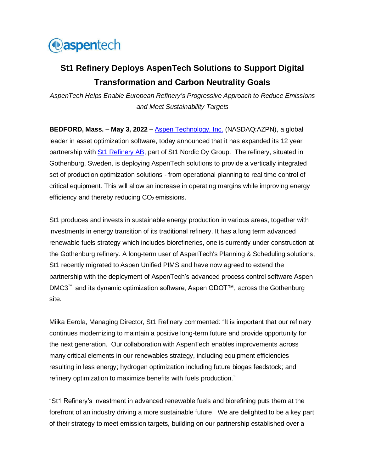

## **St1 Refinery Deploys AspenTech Solutions to Support Digital Transformation and Carbon Neutrality Goals**

*AspenTech Helps Enable European Refinery's Progressive Approach to Reduce Emissions and Meet Sustainability Targets* 

**BEDFORD, Mass. – May 3, 2022 –** [Aspen Technology, Inc.](http://www.aspentech.com/) (NASDAQ:AZPN), a global leader in asset optimization software, today announced that it has expanded its 12 year partnership wit[h St1 Refinery](https://www.st1.com/about-st1/company-information/areas-operations/st1-refinery) AB, part of St1 Nordic Oy Group. The refinery, situated in Gothenburg, Sweden, is deploying AspenTech solutions to provide a vertically integrated set of production optimization solutions - from operational planning to real time control of critical equipment. This will allow an increase in operating margins while improving energy efficiency and thereby reducing  $CO<sub>2</sub>$  emissions.

St1 produces and invests in sustainable energy production in various areas, together with investments in energy transition of its traditional refinery. It has a long term advanced renewable fuels strategy which includes biorefineries, one is currently under construction at the Gothenburg refinery. A long-term user of AspenTech's Planning & Scheduling solutions, St1 recently migrated to Aspen Unified PIMS and have now agreed to extend the partnership with the deployment of AspenTech's advanced process control software Aspen DMC3™ and its dynamic optimization software, Aspen GDOT™, across the Gothenburg site.

Miika Eerola, Managing Director, St1 Refinery commented: "It is important that our refinery continues modernizing to maintain a positive long-term future and provide opportunity for the next generation. Our collaboration with AspenTech enables improvements across many critical elements in our renewables strategy, including equipment efficiencies resulting in less energy; hydrogen optimization including future biogas feedstock; and refinery optimization to maximize benefits with fuels production."

"St1 Refinery's investment in advanced renewable fuels and biorefining puts them at the forefront of an industry driving a more sustainable future. We are delighted to be a key part of their strategy to meet emission targets, building on our partnership established over a